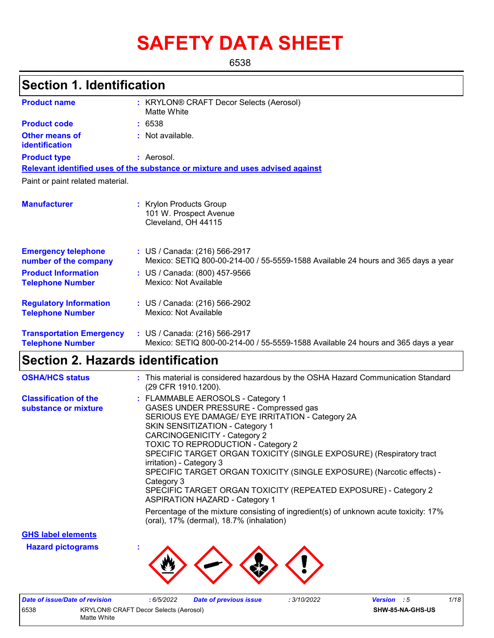# **SAFETY DATA SHEET**

6538

# **Section 1. Identification**

| <b>Product name</b>                                        | : KRYLON® CRAFT Decor Selects (Aerosol)<br>Matte White                                                             |  |
|------------------------------------------------------------|--------------------------------------------------------------------------------------------------------------------|--|
| <b>Product code</b>                                        | : 6538                                                                                                             |  |
| <b>Other means of</b><br>identification                    | : Not available.                                                                                                   |  |
| <b>Product type</b>                                        | : Aerosol.                                                                                                         |  |
|                                                            | Relevant identified uses of the substance or mixture and uses advised against                                      |  |
| Paint or paint related material.                           |                                                                                                                    |  |
| <b>Manufacturer</b>                                        | : Krylon Products Group<br>101 W. Prospect Avenue<br>Cleveland, OH 44115                                           |  |
| <b>Emergency telephone</b><br>number of the company        | : US / Canada: (216) 566-2917<br>Mexico: SETIQ 800-00-214-00 / 55-5559-1588 Available 24 hours and 365 days a year |  |
| <b>Product Information</b><br><b>Telephone Number</b>      | : US / Canada: (800) 457-9566<br>Mexico: Not Available                                                             |  |
| <b>Regulatory Information</b><br><b>Telephone Number</b>   | : US / Canada: (216) 566-2902<br>Mexico: Not Available                                                             |  |
| <b>Transportation Emergency</b><br><b>Telephone Number</b> | : US / Canada: (216) 566-2917<br>Mexico: SETIQ 800-00-214-00 / 55-5559-1588 Available 24 hours and 365 days a year |  |

### **Section 2. Hazards identification**

| <b>OSHA/HCS status</b>                               | : This material is considered hazardous by the OSHA Hazard Communication Standard<br>(29 CFR 1910.1200).                                                                                                                                                                                                                                                                                                                                                                                                                                                    |
|------------------------------------------------------|-------------------------------------------------------------------------------------------------------------------------------------------------------------------------------------------------------------------------------------------------------------------------------------------------------------------------------------------------------------------------------------------------------------------------------------------------------------------------------------------------------------------------------------------------------------|
| <b>Classification of the</b><br>substance or mixture | : FLAMMABLE AEROSOLS - Category 1<br>GASES UNDER PRESSURE - Compressed gas<br>SERIOUS EYE DAMAGE/ EYE IRRITATION - Category 2A<br><b>SKIN SENSITIZATION - Category 1</b><br>CARCINOGENICITY - Category 2<br><b>TOXIC TO REPRODUCTION - Category 2</b><br>SPECIFIC TARGET ORGAN TOXICITY (SINGLE EXPOSURE) (Respiratory tract<br>irritation) - Category 3<br>SPECIFIC TARGET ORGAN TOXICITY (SINGLE EXPOSURE) (Narcotic effects) -<br>Category 3<br>SPECIFIC TARGET ORGAN TOXICITY (REPEATED EXPOSURE) - Category 2<br><b>ASPIRATION HAZARD - Category 1</b> |
|                                                      | Percentage of the mixture consisting of ingredient(s) of unknown acute toxicity: 17%<br>(oral), 17% (dermal), 18.7% (inhalation)                                                                                                                                                                                                                                                                                                                                                                                                                            |

**GHS label elements**

**Hazard pictograms :**



| Date of issue/Date of revision |                                              | 6/5/2022 | <b>Date of previous issue</b> | : 3/10/2022 | <b>Version</b> : 5 |                  | 1/18 |
|--------------------------------|----------------------------------------------|----------|-------------------------------|-------------|--------------------|------------------|------|
| 6538                           | <b>KRYLON® CRAFT Decor Selects (Aerosol)</b> |          |                               |             |                    | SHW-85-NA-GHS-US |      |
|                                | Matte White                                  |          |                               |             |                    |                  |      |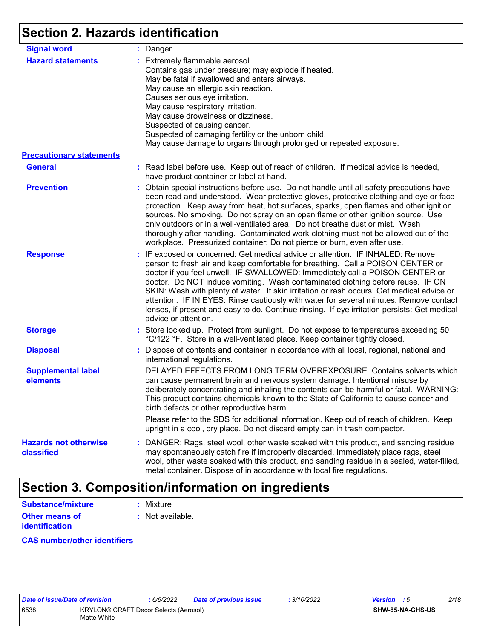# **Section 2. Hazards identification**

| <b>Signal word</b>                         | : Danger                                                                                                                                                                                                                                                                                                                                                                                                                                                                                                                                                                                                                                           |
|--------------------------------------------|----------------------------------------------------------------------------------------------------------------------------------------------------------------------------------------------------------------------------------------------------------------------------------------------------------------------------------------------------------------------------------------------------------------------------------------------------------------------------------------------------------------------------------------------------------------------------------------------------------------------------------------------------|
| <b>Hazard statements</b>                   | : Extremely flammable aerosol.<br>Contains gas under pressure; may explode if heated.<br>May be fatal if swallowed and enters airways.<br>May cause an allergic skin reaction.<br>Causes serious eye irritation.<br>May cause respiratory irritation.<br>May cause drowsiness or dizziness.<br>Suspected of causing cancer.<br>Suspected of damaging fertility or the unborn child.<br>May cause damage to organs through prolonged or repeated exposure.                                                                                                                                                                                          |
| <b>Precautionary statements</b>            |                                                                                                                                                                                                                                                                                                                                                                                                                                                                                                                                                                                                                                                    |
| <b>General</b>                             | : Read label before use. Keep out of reach of children. If medical advice is needed,<br>have product container or label at hand.                                                                                                                                                                                                                                                                                                                                                                                                                                                                                                                   |
| <b>Prevention</b>                          | : Obtain special instructions before use. Do not handle until all safety precautions have<br>been read and understood. Wear protective gloves, protective clothing and eye or face<br>protection. Keep away from heat, hot surfaces, sparks, open flames and other ignition<br>sources. No smoking. Do not spray on an open flame or other ignition source. Use<br>only outdoors or in a well-ventilated area. Do not breathe dust or mist. Wash<br>thoroughly after handling. Contaminated work clothing must not be allowed out of the<br>workplace. Pressurized container: Do not pierce or burn, even after use.                               |
| <b>Response</b>                            | : IF exposed or concerned: Get medical advice or attention. IF INHALED: Remove<br>person to fresh air and keep comfortable for breathing. Call a POISON CENTER or<br>doctor if you feel unwell. IF SWALLOWED: Immediately call a POISON CENTER or<br>doctor. Do NOT induce vomiting. Wash contaminated clothing before reuse. IF ON<br>SKIN: Wash with plenty of water. If skin irritation or rash occurs: Get medical advice or<br>attention. IF IN EYES: Rinse cautiously with water for several minutes. Remove contact<br>lenses, if present and easy to do. Continue rinsing. If eye irritation persists: Get medical<br>advice or attention. |
| <b>Storage</b>                             | : Store locked up. Protect from sunlight. Do not expose to temperatures exceeding 50<br>°C/122 °F. Store in a well-ventilated place. Keep container tightly closed.                                                                                                                                                                                                                                                                                                                                                                                                                                                                                |
| <b>Disposal</b>                            | : Dispose of contents and container in accordance with all local, regional, national and<br>international regulations.                                                                                                                                                                                                                                                                                                                                                                                                                                                                                                                             |
| <b>Supplemental label</b><br>elements      | DELAYED EFFECTS FROM LONG TERM OVEREXPOSURE. Contains solvents which<br>can cause permanent brain and nervous system damage. Intentional misuse by<br>deliberately concentrating and inhaling the contents can be harmful or fatal. WARNING:<br>This product contains chemicals known to the State of California to cause cancer and<br>birth defects or other reproductive harm.                                                                                                                                                                                                                                                                  |
|                                            | Please refer to the SDS for additional information. Keep out of reach of children. Keep<br>upright in a cool, dry place. Do not discard empty can in trash compactor.                                                                                                                                                                                                                                                                                                                                                                                                                                                                              |
| <b>Hazards not otherwise</b><br>classified | : DANGER: Rags, steel wool, other waste soaked with this product, and sanding residue<br>may spontaneously catch fire if improperly discarded. Immediately place rags, steel<br>wool, other waste soaked with this product, and sanding residue in a sealed, water-filled,<br>metal container. Dispose of in accordance with local fire regulations.                                                                                                                                                                                                                                                                                               |

# **Section 3. Composition/information on ingredients**

| Substance/mixture     | : Mixture        |
|-----------------------|------------------|
| <b>Other means of</b> | : Not available. |
| <b>identification</b> |                  |

#### **CAS number/other identifiers**

| Date of issue/Date of revision |                                                      | : 6/5/2022 | <b>Date of previous issue</b> | : 3/10/2022 | <b>Version</b> : 5 |                         | 2/18 |
|--------------------------------|------------------------------------------------------|------------|-------------------------------|-------------|--------------------|-------------------------|------|
| 6538                           | KRYLON® CRAFT Decor Selects (Aerosol)<br>Matte White |            |                               |             |                    | <b>SHW-85-NA-GHS-US</b> |      |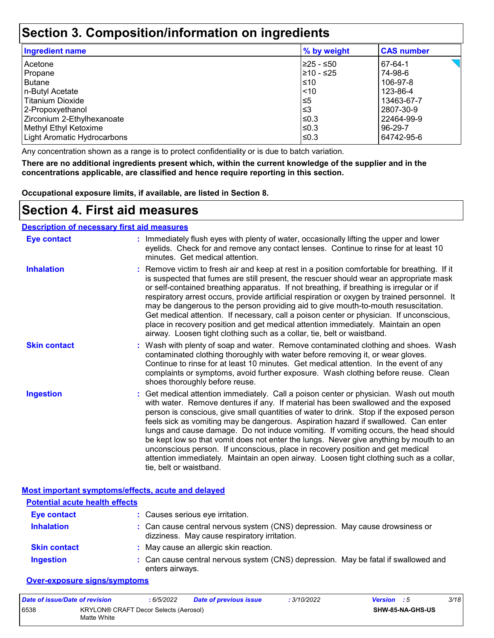### **Section 3. Composition/information on ingredients**

| <b>Ingredient name</b>      | % by weight | <b>CAS number</b> |
|-----------------------------|-------------|-------------------|
| Acetone                     | l≥25 - ≤50  | 67-64-1           |
| Propane                     | 210 - ≤25   | 74-98-6           |
| <b>Butane</b>               | $\leq 10$   | 106-97-8          |
| n-Butyl Acetate             | $\leq 10$   | 123-86-4          |
| Titanium Dioxide            | $\leq 5$    | 13463-67-7        |
| 2-Propoxyethanol            | l≤3         | 2807-30-9         |
| Zirconium 2-Ethylhexanoate  | ≤0.3        | 22464-99-9        |
| Methyl Ethyl Ketoxime       | l≤0.3       | 96-29-7           |
| Light Aromatic Hydrocarbons | l≤0.3       | 64742-95-6        |
|                             |             |                   |

Any concentration shown as a range is to protect confidentiality or is due to batch variation.

**There are no additional ingredients present which, within the current knowledge of the supplier and in the concentrations applicable, are classified and hence require reporting in this section.**

**Occupational exposure limits, if available, are listed in Section 8.**

### **Section 4. First aid measures**

#### **Description of necessary first aid measures**

| <b>Eye contact</b>  | : Immediately flush eyes with plenty of water, occasionally lifting the upper and lower<br>eyelids. Check for and remove any contact lenses. Continue to rinse for at least 10<br>minutes. Get medical attention.                                                                                                                                                                                                                                                                                                                                                                                                                                                                                                                                       |
|---------------------|---------------------------------------------------------------------------------------------------------------------------------------------------------------------------------------------------------------------------------------------------------------------------------------------------------------------------------------------------------------------------------------------------------------------------------------------------------------------------------------------------------------------------------------------------------------------------------------------------------------------------------------------------------------------------------------------------------------------------------------------------------|
| <b>Inhalation</b>   | : Remove victim to fresh air and keep at rest in a position comfortable for breathing. If it<br>is suspected that fumes are still present, the rescuer should wear an appropriate mask<br>or self-contained breathing apparatus. If not breathing, if breathing is irregular or if<br>respiratory arrest occurs, provide artificial respiration or oxygen by trained personnel. It<br>may be dangerous to the person providing aid to give mouth-to-mouth resuscitation.<br>Get medical attention. If necessary, call a poison center or physician. If unconscious,<br>place in recovery position and get medical attention immediately. Maintain an open<br>airway. Loosen tight clothing such as a collar, tie, belt or waistband.                    |
| <b>Skin contact</b> | : Wash with plenty of soap and water. Remove contaminated clothing and shoes. Wash<br>contaminated clothing thoroughly with water before removing it, or wear gloves.<br>Continue to rinse for at least 10 minutes. Get medical attention. In the event of any<br>complaints or symptoms, avoid further exposure. Wash clothing before reuse. Clean<br>shoes thoroughly before reuse.                                                                                                                                                                                                                                                                                                                                                                   |
| <b>Ingestion</b>    | : Get medical attention immediately. Call a poison center or physician. Wash out mouth<br>with water. Remove dentures if any. If material has been swallowed and the exposed<br>person is conscious, give small quantities of water to drink. Stop if the exposed person<br>feels sick as vomiting may be dangerous. Aspiration hazard if swallowed. Can enter<br>lungs and cause damage. Do not induce vomiting. If vomiting occurs, the head should<br>be kept low so that vomit does not enter the lungs. Never give anything by mouth to an<br>unconscious person. If unconscious, place in recovery position and get medical<br>attention immediately. Maintain an open airway. Loosen tight clothing such as a collar,<br>tie, belt or waistband. |

**Most important symptoms/effects, acute and delayed**

| <b>Potential acute health effects</b> |                                                                                                                              |
|---------------------------------------|------------------------------------------------------------------------------------------------------------------------------|
| <b>Eye contact</b>                    | : Causes serious eye irritation.                                                                                             |
| <b>Inhalation</b>                     | : Can cause central nervous system (CNS) depression. May cause drowsiness or<br>dizziness. May cause respiratory irritation. |
| <b>Skin contact</b>                   | : May cause an allergic skin reaction.                                                                                       |
| <b>Ingestion</b>                      | : Can cause central nervous system (CNS) depression. May be fatal if swallowed and<br>enters airways.                        |

#### **Over-exposure signs/symptoms**

| Date of issue/Date of revision |                                                      | : 6/5/2022 | <b>Date of previous issue</b> | : 3/10/2022 | <b>Version</b> : 5 |                         | 3/18 |
|--------------------------------|------------------------------------------------------|------------|-------------------------------|-------------|--------------------|-------------------------|------|
| 6538                           | KRYLON® CRAFT Decor Selects (Aerosol)<br>Matte White |            |                               |             |                    | <b>SHW-85-NA-GHS-US</b> |      |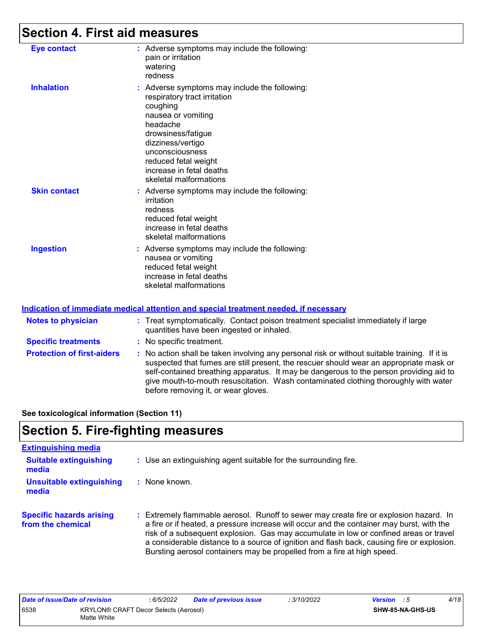# **Section 4. First aid measures**

| <b>Eye contact</b>  | : Adverse symptoms may include the following:<br>pain or irritation<br>watering<br>redness                                                                                                                                                                              |
|---------------------|-------------------------------------------------------------------------------------------------------------------------------------------------------------------------------------------------------------------------------------------------------------------------|
| <b>Inhalation</b>   | : Adverse symptoms may include the following:<br>respiratory tract irritation<br>coughing<br>nausea or vomiting<br>headache<br>drowsiness/fatigue<br>dizziness/vertigo<br>unconsciousness<br>reduced fetal weight<br>increase in fetal deaths<br>skeletal malformations |
| <b>Skin contact</b> | : Adverse symptoms may include the following:<br>irritation<br>redness<br>reduced fetal weight<br>increase in fetal deaths<br>skeletal malformations                                                                                                                    |
| <b>Ingestion</b>    | : Adverse symptoms may include the following:<br>nausea or vomiting<br>reduced fetal weight<br>increase in fetal deaths<br>skeletal malformations                                                                                                                       |

#### **Indication of immediate medical attention and special treatment needed, if necessary**

| <b>Notes to physician</b>         | : Treat symptomatically. Contact poison treatment specialist immediately if large<br>quantities have been ingested or inhaled.                                                                                                                                                                                                                                                                                  |
|-----------------------------------|-----------------------------------------------------------------------------------------------------------------------------------------------------------------------------------------------------------------------------------------------------------------------------------------------------------------------------------------------------------------------------------------------------------------|
| <b>Specific treatments</b>        | : No specific treatment.                                                                                                                                                                                                                                                                                                                                                                                        |
| <b>Protection of first-aiders</b> | : No action shall be taken involving any personal risk or without suitable training. If it is<br>suspected that fumes are still present, the rescuer should wear an appropriate mask or<br>self-contained breathing apparatus. It may be dangerous to the person providing aid to<br>give mouth-to-mouth resuscitation. Wash contaminated clothing thoroughly with water<br>before removing it, or wear gloves. |

**See toxicological information (Section 11)**

# **Section 5. Fire-fighting measures**

| <b>Extinguishing media</b>                           |                                                                                                                                                                                                                                                                                                                                                                                                                                                           |
|------------------------------------------------------|-----------------------------------------------------------------------------------------------------------------------------------------------------------------------------------------------------------------------------------------------------------------------------------------------------------------------------------------------------------------------------------------------------------------------------------------------------------|
| <b>Suitable extinguishing</b><br>media               | : Use an extinguishing agent suitable for the surrounding fire.                                                                                                                                                                                                                                                                                                                                                                                           |
| <b>Unsuitable extinguishing</b><br>media             | : None known.                                                                                                                                                                                                                                                                                                                                                                                                                                             |
| <b>Specific hazards arising</b><br>from the chemical | Extremely flammable aerosol. Runoff to sewer may create fire or explosion hazard. In<br>÷.<br>a fire or if heated, a pressure increase will occur and the container may burst, with the<br>risk of a subsequent explosion. Gas may accumulate in low or confined areas or travel<br>a considerable distance to a source of ignition and flash back, causing fire or explosion.<br>Bursting aerosol containers may be propelled from a fire at high speed. |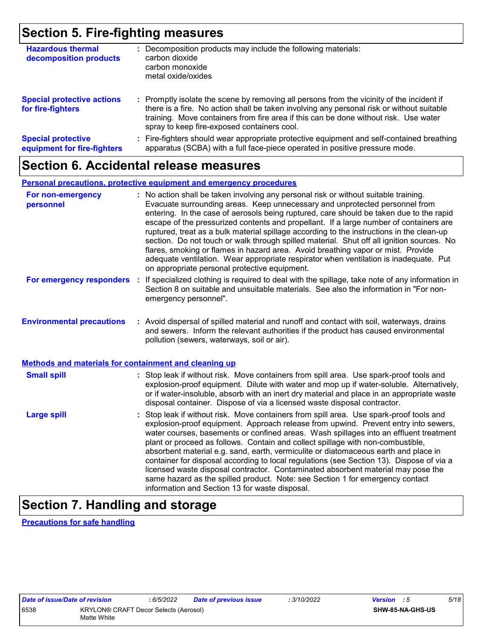## **Section 5. Fire-fighting measures**

| <b>Hazardous thermal</b><br>decomposition products       | : Decomposition products may include the following materials:<br>carbon dioxide<br>carbon monoxide<br>metal oxide/oxides                                                                                                                                                                                                      |
|----------------------------------------------------------|-------------------------------------------------------------------------------------------------------------------------------------------------------------------------------------------------------------------------------------------------------------------------------------------------------------------------------|
| <b>Special protective actions</b><br>for fire-fighters   | : Promptly isolate the scene by removing all persons from the vicinity of the incident if<br>there is a fire. No action shall be taken involving any personal risk or without suitable<br>training. Move containers from fire area if this can be done without risk. Use water<br>spray to keep fire-exposed containers cool. |
| <b>Special protective</b><br>equipment for fire-fighters | : Fire-fighters should wear appropriate protective equipment and self-contained breathing<br>apparatus (SCBA) with a full face-piece operated in positive pressure mode.                                                                                                                                                      |

### **Section 6. Accidental release measures**

#### **Personal precautions, protective equipment and emergency procedures**

| For non-emergency<br>personnel                               | : No action shall be taken involving any personal risk or without suitable training.<br>Evacuate surrounding areas. Keep unnecessary and unprotected personnel from<br>entering. In the case of aerosols being ruptured, care should be taken due to the rapid<br>escape of the pressurized contents and propellant. If a large number of containers are<br>ruptured, treat as a bulk material spillage according to the instructions in the clean-up<br>section. Do not touch or walk through spilled material. Shut off all ignition sources. No<br>flares, smoking or flames in hazard area. Avoid breathing vapor or mist. Provide<br>adequate ventilation. Wear appropriate respirator when ventilation is inadequate. Put<br>on appropriate personal protective equipment. |
|--------------------------------------------------------------|----------------------------------------------------------------------------------------------------------------------------------------------------------------------------------------------------------------------------------------------------------------------------------------------------------------------------------------------------------------------------------------------------------------------------------------------------------------------------------------------------------------------------------------------------------------------------------------------------------------------------------------------------------------------------------------------------------------------------------------------------------------------------------|
| For emergency responders                                     | : If specialized clothing is required to deal with the spillage, take note of any information in<br>Section 8 on suitable and unsuitable materials. See also the information in "For non-<br>emergency personnel".                                                                                                                                                                                                                                                                                                                                                                                                                                                                                                                                                               |
| <b>Environmental precautions</b>                             | : Avoid dispersal of spilled material and runoff and contact with soil, waterways, drains<br>and sewers. Inform the relevant authorities if the product has caused environmental<br>pollution (sewers, waterways, soil or air).                                                                                                                                                                                                                                                                                                                                                                                                                                                                                                                                                  |
| <b>Methods and materials for containment and cleaning up</b> |                                                                                                                                                                                                                                                                                                                                                                                                                                                                                                                                                                                                                                                                                                                                                                                  |
| <b>Small spill</b>                                           | : Stop leak if without risk. Move containers from spill area. Use spark-proof tools and<br>explosion-proof equipment. Dilute with water and mop up if water-soluble. Alternatively,<br>or if water-insoluble, absorb with an inert dry material and place in an appropriate waste<br>disposal container. Dispose of via a licensed waste disposal contractor.                                                                                                                                                                                                                                                                                                                                                                                                                    |
| <b>Large spill</b>                                           | : Stop leak if without risk. Move containers from spill area. Use spark-proof tools and<br>explosion-proof equipment. Approach release from upwind. Prevent entry into sewers,<br>water courses, basements or confined areas. Wash spillages into an effluent treatment<br>plant or proceed as follows. Contain and collect spillage with non-combustible,<br>absorbent material e.g. sand, earth, vermiculite or diatomaceous earth and place in<br>container for disposal according to local regulations (see Section 13). Dispose of via a<br>licensed waste disposal contractor. Contaminated absorbent material may pose the<br>same hazard as the spilled product. Note: see Section 1 for emergency contact<br>information and Section 13 for waste disposal.             |

# **Section 7. Handling and storage**

**Precautions for safe handling**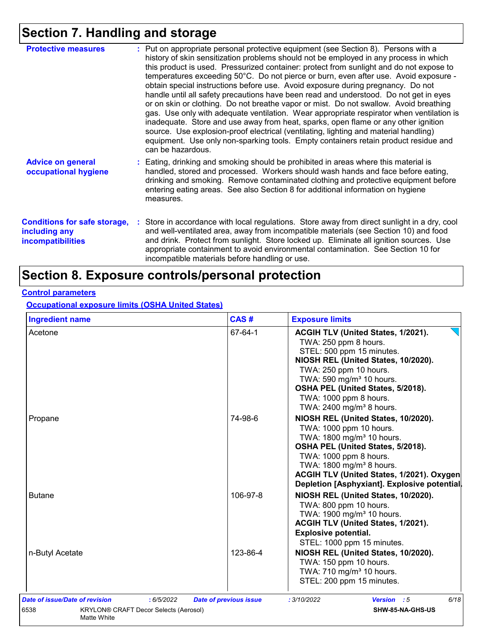# **Section 7. Handling and storage**

| <b>Protective measures</b>                                                       | : Put on appropriate personal protective equipment (see Section 8). Persons with a<br>history of skin sensitization problems should not be employed in any process in which<br>this product is used. Pressurized container: protect from sunlight and do not expose to<br>temperatures exceeding 50°C. Do not pierce or burn, even after use. Avoid exposure -<br>obtain special instructions before use. Avoid exposure during pregnancy. Do not<br>handle until all safety precautions have been read and understood. Do not get in eyes<br>or on skin or clothing. Do not breathe vapor or mist. Do not swallow. Avoid breathing<br>gas. Use only with adequate ventilation. Wear appropriate respirator when ventilation is<br>inadequate. Store and use away from heat, sparks, open flame or any other ignition<br>source. Use explosion-proof electrical (ventilating, lighting and material handling)<br>equipment. Use only non-sparking tools. Empty containers retain product residue and<br>can be hazardous. |
|----------------------------------------------------------------------------------|---------------------------------------------------------------------------------------------------------------------------------------------------------------------------------------------------------------------------------------------------------------------------------------------------------------------------------------------------------------------------------------------------------------------------------------------------------------------------------------------------------------------------------------------------------------------------------------------------------------------------------------------------------------------------------------------------------------------------------------------------------------------------------------------------------------------------------------------------------------------------------------------------------------------------------------------------------------------------------------------------------------------------|
| <b>Advice on general</b><br>occupational hygiene                                 | : Eating, drinking and smoking should be prohibited in areas where this material is<br>handled, stored and processed. Workers should wash hands and face before eating,<br>drinking and smoking. Remove contaminated clothing and protective equipment before<br>entering eating areas. See also Section 8 for additional information on hygiene<br>measures.                                                                                                                                                                                                                                                                                                                                                                                                                                                                                                                                                                                                                                                             |
| <b>Conditions for safe storage,</b><br>including any<br><b>incompatibilities</b> | Store in accordance with local regulations. Store away from direct sunlight in a dry, cool<br>and well-ventilated area, away from incompatible materials (see Section 10) and food<br>and drink. Protect from sunlight. Store locked up. Eliminate all ignition sources. Use<br>appropriate containment to avoid environmental contamination. See Section 10 for<br>incompatible materials before handling or use.                                                                                                                                                                                                                                                                                                                                                                                                                                                                                                                                                                                                        |

# **Section 8. Exposure controls/personal protection**

#### **Control parameters**

**Occupational exposure limits (OSHA United States)**

| <b>Ingredient name</b>                               | CAS#                          | <b>Exposure limits</b>                      |  |  |
|------------------------------------------------------|-------------------------------|---------------------------------------------|--|--|
| Acetone                                              | 67-64-1                       | ACGIH TLV (United States, 1/2021).          |  |  |
|                                                      |                               | TWA: 250 ppm 8 hours.                       |  |  |
|                                                      |                               | STEL: 500 ppm 15 minutes.                   |  |  |
|                                                      |                               | NIOSH REL (United States, 10/2020).         |  |  |
|                                                      |                               | TWA: 250 ppm 10 hours.                      |  |  |
|                                                      |                               | TWA: 590 mg/m <sup>3</sup> 10 hours.        |  |  |
|                                                      |                               | OSHA PEL (United States, 5/2018).           |  |  |
|                                                      |                               | TWA: 1000 ppm 8 hours.                      |  |  |
|                                                      |                               | TWA: 2400 mg/m <sup>3</sup> 8 hours.        |  |  |
| Propane                                              | 74-98-6                       | NIOSH REL (United States, 10/2020).         |  |  |
|                                                      |                               | TWA: 1000 ppm 10 hours.                     |  |  |
|                                                      |                               | TWA: 1800 mg/m <sup>3</sup> 10 hours.       |  |  |
|                                                      |                               | OSHA PEL (United States, 5/2018).           |  |  |
|                                                      |                               | TWA: 1000 ppm 8 hours.                      |  |  |
|                                                      |                               | TWA: 1800 mg/m <sup>3</sup> 8 hours.        |  |  |
|                                                      |                               | ACGIH TLV (United States, 1/2021). Oxygen   |  |  |
|                                                      |                               | Depletion [Asphyxiant]. Explosive potential |  |  |
| <b>Butane</b>                                        | 106-97-8                      | NIOSH REL (United States, 10/2020).         |  |  |
|                                                      |                               | TWA: 800 ppm 10 hours.                      |  |  |
|                                                      |                               | TWA: 1900 mg/m <sup>3</sup> 10 hours.       |  |  |
|                                                      |                               | ACGIH TLV (United States, 1/2021).          |  |  |
|                                                      |                               | <b>Explosive potential.</b>                 |  |  |
|                                                      |                               | STEL: 1000 ppm 15 minutes.                  |  |  |
| n-Butyl Acetate                                      | 123-86-4                      | NIOSH REL (United States, 10/2020).         |  |  |
|                                                      |                               | TWA: 150 ppm 10 hours.                      |  |  |
|                                                      |                               | TWA: 710 mg/m <sup>3</sup> 10 hours.        |  |  |
|                                                      |                               | STEL: 200 ppm 15 minutes.                   |  |  |
| Date of issue/Date of revision<br>: 6/5/2022         | <b>Date of previous issue</b> | 6/18<br>: 3/10/2022<br><b>Version</b> : 5   |  |  |
| 6538<br><b>KRYLON® CRAFT Decor Selects (Aerosol)</b> |                               | SHW-85-NA-GHS-US                            |  |  |
| Matte White                                          |                               |                                             |  |  |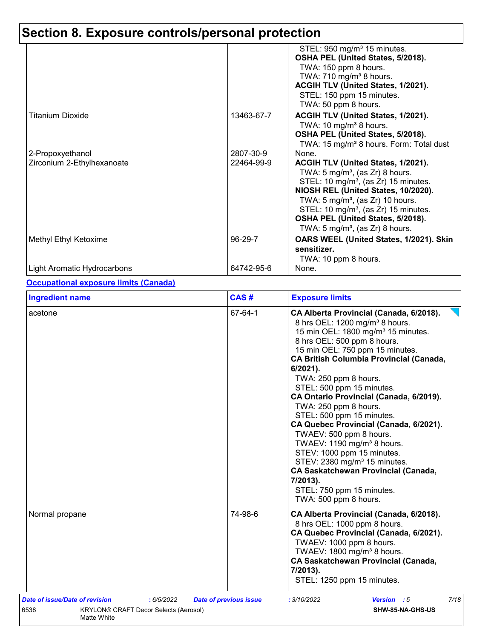|                                                |                         | STEL: 950 mg/m <sup>3</sup> 15 minutes.<br>OSHA PEL (United States, 5/2018).<br>TWA: 150 ppm 8 hours.<br>TWA: $710$ mg/m <sup>3</sup> 8 hours.<br>ACGIH TLV (United States, 1/2021).<br>STEL: 150 ppm 15 minutes.                                                                                                                                                           |
|------------------------------------------------|-------------------------|-----------------------------------------------------------------------------------------------------------------------------------------------------------------------------------------------------------------------------------------------------------------------------------------------------------------------------------------------------------------------------|
| <b>Titanium Dioxide</b>                        | 13463-67-7              | TWA: 50 ppm 8 hours.<br>ACGIH TLV (United States, 1/2021).<br>TWA: 10 mg/m <sup>3</sup> 8 hours.<br>OSHA PEL (United States, 5/2018).<br>TWA: 15 mg/m <sup>3</sup> 8 hours. Form: Total dust                                                                                                                                                                                |
| 2-Propoxyethanol<br>Zirconium 2-Ethylhexanoate | 2807-30-9<br>22464-99-9 | None.<br>ACGIH TLV (United States, 1/2021).<br>TWA: $5 \text{ mg/m}^3$ , (as Zr) 8 hours.<br>STEL: 10 mg/m <sup>3</sup> , (as Zr) 15 minutes.<br>NIOSH REL (United States, 10/2020).<br>TWA: $5 \text{ mg/m}^3$ , (as Zr) 10 hours.<br>STEL: 10 mg/m <sup>3</sup> , (as Zr) 15 minutes.<br>OSHA PEL (United States, 5/2018).<br>TWA: 5 mg/m <sup>3</sup> , (as Zr) 8 hours. |
| Methyl Ethyl Ketoxime                          | 96-29-7                 | OARS WEEL (United States, 1/2021). Skin<br>sensitizer.<br>TWA: 10 ppm 8 hours.                                                                                                                                                                                                                                                                                              |
| Light Aromatic Hydrocarbons                    | 64742-95-6              | None.                                                                                                                                                                                                                                                                                                                                                                       |

#### **Occupational exposure limits (Canada)**

| <b>Ingredient name</b>                                                                       | CAS#                          | <b>Exposure limits</b>                                                                                                                                                                                                                                                                                                                                                                                                                                                                                                                                                                                                                                                                                                                     |
|----------------------------------------------------------------------------------------------|-------------------------------|--------------------------------------------------------------------------------------------------------------------------------------------------------------------------------------------------------------------------------------------------------------------------------------------------------------------------------------------------------------------------------------------------------------------------------------------------------------------------------------------------------------------------------------------------------------------------------------------------------------------------------------------------------------------------------------------------------------------------------------------|
| acetone                                                                                      | 67-64-1                       | CA Alberta Provincial (Canada, 6/2018).<br>8 hrs OEL: 1200 mg/m <sup>3</sup> 8 hours.<br>15 min OEL: 1800 mg/m <sup>3</sup> 15 minutes.<br>8 hrs OEL: 500 ppm 8 hours.<br>15 min OEL: 750 ppm 15 minutes.<br><b>CA British Columbia Provincial (Canada,</b><br>$6/2021$ ).<br>TWA: 250 ppm 8 hours.<br>STEL: 500 ppm 15 minutes.<br>CA Ontario Provincial (Canada, 6/2019).<br>TWA: 250 ppm 8 hours.<br>STEL: 500 ppm 15 minutes.<br>CA Quebec Provincial (Canada, 6/2021).<br>TWAEV: 500 ppm 8 hours.<br>TWAEV: 1190 mg/m <sup>3</sup> 8 hours.<br>STEV: 1000 ppm 15 minutes.<br>STEV: 2380 mg/m <sup>3</sup> 15 minutes.<br><b>CA Saskatchewan Provincial (Canada,</b><br>7/2013).<br>STEL: 750 ppm 15 minutes.<br>TWA: 500 ppm 8 hours. |
| Normal propane                                                                               | 74-98-6                       | CA Alberta Provincial (Canada, 6/2018).<br>8 hrs OEL: 1000 ppm 8 hours.<br>CA Quebec Provincial (Canada, 6/2021).<br>TWAEV: 1000 ppm 8 hours.<br>TWAEV: 1800 mg/m <sup>3</sup> 8 hours.<br><b>CA Saskatchewan Provincial (Canada,</b><br>7/2013).<br>STEL: 1250 ppm 15 minutes.                                                                                                                                                                                                                                                                                                                                                                                                                                                            |
| Date of issue/Date of revision<br>:6/5/2022<br>6538<br>KRYLON® CRAFT Decor Selects (Aerosol) | <b>Date of previous issue</b> | 7/18<br>Version : 5<br>: 3/10/2022<br>SHW-85-NA-GHS-US                                                                                                                                                                                                                                                                                                                                                                                                                                                                                                                                                                                                                                                                                     |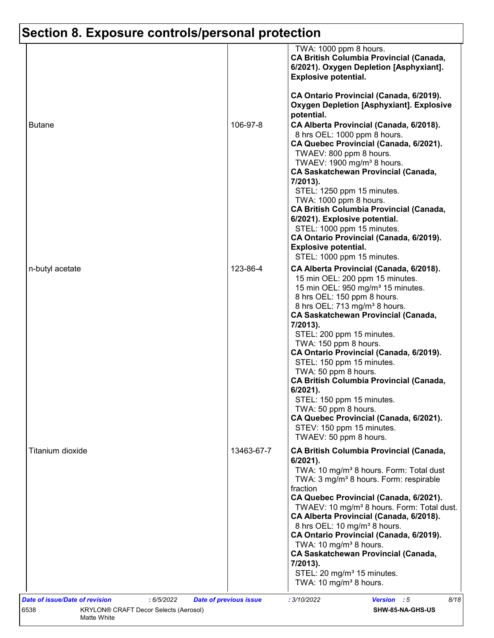|                  |            | TWA: 1000 ppm 8 hours.<br><b>CA British Columbia Provincial (Canada,</b><br>6/2021). Oxygen Depletion [Asphyxiant].<br><b>Explosive potential.</b>                                                                                                                                                                                                                                                                                                                                                                                                                                                                                             |
|------------------|------------|------------------------------------------------------------------------------------------------------------------------------------------------------------------------------------------------------------------------------------------------------------------------------------------------------------------------------------------------------------------------------------------------------------------------------------------------------------------------------------------------------------------------------------------------------------------------------------------------------------------------------------------------|
| <b>Butane</b>    | 106-97-8   | CA Ontario Provincial (Canada, 6/2019).<br><b>Oxygen Depletion [Asphyxiant]. Explosive</b><br>potential.<br>CA Alberta Provincial (Canada, 6/2018).<br>8 hrs OEL: 1000 ppm 8 hours.<br>CA Quebec Provincial (Canada, 6/2021).<br>TWAEV: 800 ppm 8 hours.<br>TWAEV: 1900 mg/m <sup>3</sup> 8 hours.<br><b>CA Saskatchewan Provincial (Canada,</b><br>7/2013).<br>STEL: 1250 ppm 15 minutes.<br>TWA: 1000 ppm 8 hours.                                                                                                                                                                                                                           |
|                  |            | <b>CA British Columbia Provincial (Canada,</b><br>6/2021). Explosive potential.<br>STEL: 1000 ppm 15 minutes.<br>CA Ontario Provincial (Canada, 6/2019).<br><b>Explosive potential.</b><br>STEL: 1000 ppm 15 minutes.                                                                                                                                                                                                                                                                                                                                                                                                                          |
| n-butyl acetate  | 123-86-4   | CA Alberta Provincial (Canada, 6/2018).<br>15 min OEL: 200 ppm 15 minutes.<br>15 min OEL: 950 mg/m <sup>3</sup> 15 minutes.<br>8 hrs OEL: 150 ppm 8 hours.<br>8 hrs OEL: 713 mg/m <sup>3</sup> 8 hours.<br><b>CA Saskatchewan Provincial (Canada,</b><br>7/2013).<br>STEL: 200 ppm 15 minutes.<br>TWA: 150 ppm 8 hours.<br>CA Ontario Provincial (Canada, 6/2019).<br>STEL: 150 ppm 15 minutes.<br>TWA: 50 ppm 8 hours.<br><b>CA British Columbia Provincial (Canada,</b><br>$6/2021$ ).<br>STEL: 150 ppm 15 minutes.<br>TWA: 50 ppm 8 hours.<br>CA Quebec Provincial (Canada, 6/2021).<br>STEV: 150 ppm 15 minutes.<br>TWAEV: 50 ppm 8 hours. |
| Titanium dioxide | 13463-67-7 | <b>CA British Columbia Provincial (Canada,</b><br>6/2021).<br>TWA: 10 mg/m <sup>3</sup> 8 hours. Form: Total dust<br>TWA: 3 mg/m <sup>3</sup> 8 hours. Form: respirable<br>fraction<br>CA Quebec Provincial (Canada, 6/2021).<br>TWAEV: 10 mg/m <sup>3</sup> 8 hours. Form: Total dust.<br>CA Alberta Provincial (Canada, 6/2018).<br>8 hrs OEL: 10 mg/m <sup>3</sup> 8 hours.<br>CA Ontario Provincial (Canada, 6/2019).<br>TWA: 10 mg/m <sup>3</sup> 8 hours.<br><b>CA Saskatchewan Provincial (Canada,</b><br>7/2013).<br>STEL: 20 mg/m <sup>3</sup> 15 minutes.<br>TWA: 10 mg/m <sup>3</sup> 8 hours.                                      |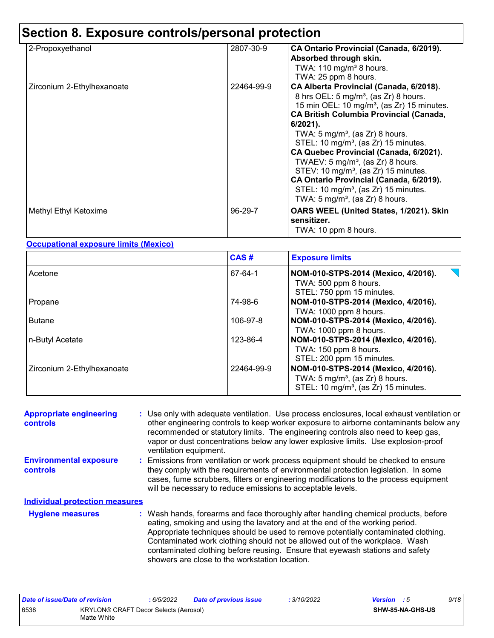| 2-Propoxyethanol           | 2807-30-9  | CA Ontario Provincial (Canada, 6/2019).<br>Absorbed through skin.<br>TWA: $110$ mg/m <sup>3</sup> 8 hours.<br>TWA: 25 ppm 8 hours.                                                                                                                                                                                                                                                                                                                                                                                                                                                                                        |
|----------------------------|------------|---------------------------------------------------------------------------------------------------------------------------------------------------------------------------------------------------------------------------------------------------------------------------------------------------------------------------------------------------------------------------------------------------------------------------------------------------------------------------------------------------------------------------------------------------------------------------------------------------------------------------|
| Zirconium 2-Ethylhexanoate | 22464-99-9 | CA Alberta Provincial (Canada, 6/2018).<br>8 hrs OEL: 5 mg/m <sup>3</sup> , (as Zr) 8 hours.<br>15 min OEL: 10 mg/m <sup>3</sup> , (as Zr) 15 minutes.<br><b>CA British Columbia Provincial (Canada,</b><br>$6/2021$ ).<br>TWA: 5 mg/m <sup>3</sup> , (as Zr) 8 hours.<br>STEL: 10 mg/m <sup>3</sup> , (as Zr) 15 minutes.<br>CA Quebec Provincial (Canada, 6/2021).<br>TWAEV: 5 mg/m <sup>3</sup> , (as Zr) 8 hours.<br>STEV: 10 mg/m <sup>3</sup> , (as Zr) 15 minutes.<br>CA Ontario Provincial (Canada, 6/2019).<br>STEL: 10 mg/m <sup>3</sup> , (as $Zr$ ) 15 minutes.<br>TWA: $5 \text{ mg/m}^3$ , (as Zr) 8 hours. |
| Methyl Ethyl Ketoxime      | $96-29-7$  | OARS WEEL (United States, 1/2021). Skin<br>sensitizer.<br>TWA: 10 ppm 8 hours.                                                                                                                                                                                                                                                                                                                                                                                                                                                                                                                                            |

#### **Occupational exposure limits (Mexico)**

|                            | CAS#       | <b>Exposure limits</b>                                                                                                                |
|----------------------------|------------|---------------------------------------------------------------------------------------------------------------------------------------|
| Acetone                    | 67-64-1    | NOM-010-STPS-2014 (Mexico, 4/2016).<br>TWA: 500 ppm 8 hours.<br>STEL: 750 ppm 15 minutes.                                             |
| Propane                    | 74-98-6    | NOM-010-STPS-2014 (Mexico, 4/2016).<br>TWA: 1000 ppm 8 hours.                                                                         |
| Butane                     | 106-97-8   | NOM-010-STPS-2014 (Mexico, 4/2016).<br>TWA: 1000 ppm 8 hours.                                                                         |
| ∣n-Butyl Acetate           | 123-86-4   | NOM-010-STPS-2014 (Mexico, 4/2016).<br>TWA: 150 ppm 8 hours.<br>STEL: 200 ppm 15 minutes.                                             |
| Zirconium 2-Ethylhexanoate | 22464-99-9 | NOM-010-STPS-2014 (Mexico, 4/2016).<br>TWA: $5 \text{ mg/m}^3$ , (as Zr) 8 hours.<br>STEL: 10 mg/m <sup>3</sup> , (as Zr) 15 minutes. |

| <b>Appropriate engineering</b><br>controls       | : Use only with adequate ventilation. Use process enclosures, local exhaust ventilation or<br>other engineering controls to keep worker exposure to airborne contaminants below any<br>recommended or statutory limits. The engineering controls also need to keep gas,<br>vapor or dust concentrations below any lower explosive limits. Use explosion-proof<br>ventilation equipment.                                                                                     |
|--------------------------------------------------|-----------------------------------------------------------------------------------------------------------------------------------------------------------------------------------------------------------------------------------------------------------------------------------------------------------------------------------------------------------------------------------------------------------------------------------------------------------------------------|
| <b>Environmental exposure</b><br><b>controls</b> | : Emissions from ventilation or work process equipment should be checked to ensure<br>they comply with the requirements of environmental protection legislation. In some<br>cases, fume scrubbers, filters or engineering modifications to the process equipment<br>will be necessary to reduce emissions to acceptable levels.                                                                                                                                             |
| <b>Individual protection measures</b>            |                                                                                                                                                                                                                                                                                                                                                                                                                                                                             |
| <b>Hygiene measures</b>                          | : Wash hands, forearms and face thoroughly after handling chemical products, before<br>eating, smoking and using the lavatory and at the end of the working period.<br>Appropriate techniques should be used to remove potentially contaminated clothing.<br>Contaminated work clothing should not be allowed out of the workplace. Wash<br>contaminated clothing before reusing. Ensure that eyewash stations and safety<br>showers are close to the workstation location. |

| Date of issue/Date of revision                                      |  | 6/5/2022 | <b>Date of previous issue</b> | 3/10/2022 | <b>Version</b> : 5 | 9/18 |
|---------------------------------------------------------------------|--|----------|-------------------------------|-----------|--------------------|------|
| 6538<br><b>KRYLON® CRAFT Decor Selects (Aerosol)</b><br>Matte White |  |          | SHW-85-NA-GHS-US              |           |                    |      |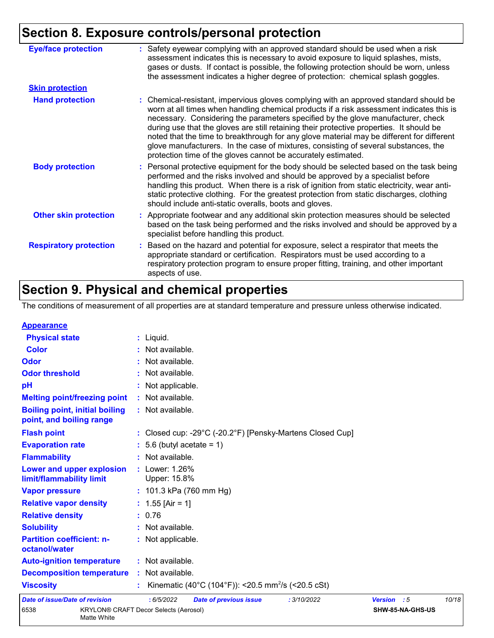| <b>Eye/face protection</b>    | : Safety eyewear complying with an approved standard should be used when a risk<br>assessment indicates this is necessary to avoid exposure to liquid splashes, mists,<br>gases or dusts. If contact is possible, the following protection should be worn, unless<br>the assessment indicates a higher degree of protection: chemical splash goggles.                                                                                                                                                                                                                                                                  |
|-------------------------------|------------------------------------------------------------------------------------------------------------------------------------------------------------------------------------------------------------------------------------------------------------------------------------------------------------------------------------------------------------------------------------------------------------------------------------------------------------------------------------------------------------------------------------------------------------------------------------------------------------------------|
| <b>Skin protection</b>        |                                                                                                                                                                                                                                                                                                                                                                                                                                                                                                                                                                                                                        |
| <b>Hand protection</b>        | : Chemical-resistant, impervious gloves complying with an approved standard should be<br>worn at all times when handling chemical products if a risk assessment indicates this is<br>necessary. Considering the parameters specified by the glove manufacturer, check<br>during use that the gloves are still retaining their protective properties. It should be<br>noted that the time to breakthrough for any glove material may be different for different<br>glove manufacturers. In the case of mixtures, consisting of several substances, the<br>protection time of the gloves cannot be accurately estimated. |
| <b>Body protection</b>        | : Personal protective equipment for the body should be selected based on the task being<br>performed and the risks involved and should be approved by a specialist before<br>handling this product. When there is a risk of ignition from static electricity, wear anti-<br>static protective clothing. For the greatest protection from static discharges, clothing<br>should include anti-static overalls, boots and gloves.                                                                                                                                                                                         |
| <b>Other skin protection</b>  | : Appropriate footwear and any additional skin protection measures should be selected<br>based on the task being performed and the risks involved and should be approved by a<br>specialist before handling this product.                                                                                                                                                                                                                                                                                                                                                                                              |
| <b>Respiratory protection</b> | : Based on the hazard and potential for exposure, select a respirator that meets the<br>appropriate standard or certification. Respirators must be used according to a<br>respiratory protection program to ensure proper fitting, training, and other important<br>aspects of use.                                                                                                                                                                                                                                                                                                                                    |

# **Section 9. Physical and chemical properties**

The conditions of measurement of all properties are at standard temperature and pressure unless otherwise indicated.

| <b>Appearance</b>                                                 |                                                                                 |             |                  |       |
|-------------------------------------------------------------------|---------------------------------------------------------------------------------|-------------|------------------|-------|
| <b>Physical state</b>                                             | $:$ Liquid.                                                                     |             |                  |       |
| <b>Color</b>                                                      | : Not available.                                                                |             |                  |       |
| Odor                                                              | : Not available.                                                                |             |                  |       |
| <b>Odor threshold</b>                                             | : Not available.                                                                |             |                  |       |
| pH                                                                | : Not applicable.                                                               |             |                  |       |
| <b>Melting point/freezing point</b>                               | : Not available.                                                                |             |                  |       |
| <b>Boiling point, initial boiling</b><br>point, and boiling range | : Not available.                                                                |             |                  |       |
| <b>Flash point</b>                                                | : Closed cup: -29 $^{\circ}$ C (-20.2 $^{\circ}$ F) [Pensky-Martens Closed Cup] |             |                  |       |
| <b>Evaporation rate</b>                                           | $: 5.6$ (butyl acetate = 1)                                                     |             |                  |       |
| <b>Flammability</b>                                               | : Not available.                                                                |             |                  |       |
| Lower and upper explosion<br>limit/flammability limit             | : Lower: 1.26%<br>Upper: 15.8%                                                  |             |                  |       |
| <b>Vapor pressure</b>                                             | : $101.3$ kPa (760 mm Hg)                                                       |             |                  |       |
| <b>Relative vapor density</b>                                     | : $1.55$ [Air = 1]                                                              |             |                  |       |
| <b>Relative density</b>                                           | : 0.76                                                                          |             |                  |       |
| <b>Solubility</b>                                                 | : Not available.                                                                |             |                  |       |
| <b>Partition coefficient: n-</b><br>octanol/water                 | : Not applicable.                                                               |             |                  |       |
| <b>Auto-ignition temperature</b>                                  | : Not available.                                                                |             |                  |       |
| <b>Decomposition temperature</b>                                  | : Not available.                                                                |             |                  |       |
| <b>Viscosity</b>                                                  | Kinematic (40°C (104°F)): <20.5 mm <sup>2</sup> /s (<20.5 cSt)                  |             |                  |       |
| <b>Date of issue/Date of revision</b>                             | : 6/5/2022<br>: 3/10/2022<br><b>Date of previous issue</b>                      | Version : 5 |                  | 10/18 |
| 6538                                                              | <b>KRYLON® CRAFT Decor Selects (Aerosol)</b>                                    |             | SHW-85-NA-GHS-US |       |

Matte White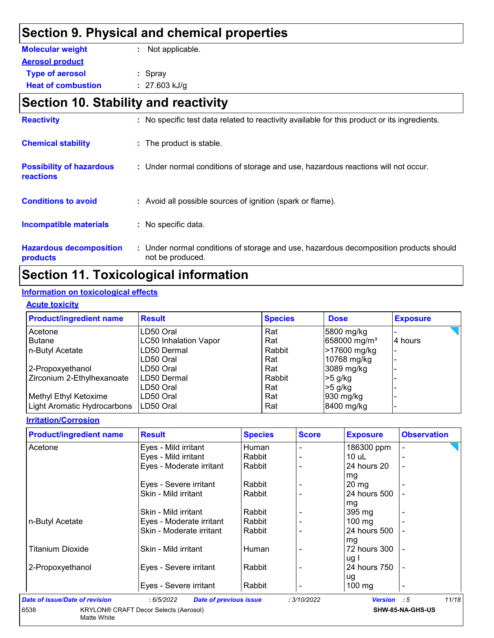## **Section 9. Physical and chemical properties**

| <b>Molecular weight</b>   | : Not applicable. |
|---------------------------|-------------------|
| <b>Aerosol product</b>    |                   |
| <b>Type of aerosol</b>    | $:$ Spray         |
| <b>Heat of combustion</b> | $: 27.603$ kJ/g   |

# **Section 10. Stability and reactivity**

| <b>Reactivity</b>                            | : No specific test data related to reactivity available for this product or its ingredients.              |
|----------------------------------------------|-----------------------------------------------------------------------------------------------------------|
| <b>Chemical stability</b>                    | : The product is stable.                                                                                  |
| <b>Possibility of hazardous</b><br>reactions | : Under normal conditions of storage and use, hazardous reactions will not occur.                         |
| <b>Conditions to avoid</b>                   | : Avoid all possible sources of ignition (spark or flame).                                                |
| <b>Incompatible materials</b>                | : No specific data.                                                                                       |
| <b>Hazardous decomposition</b><br>products   | : Under normal conditions of storage and use, hazardous decomposition products should<br>not be produced. |

## **Section 11. Toxicological information**

#### **Information on toxicological effects**

#### **Acute toxicity**

| <b>Product/ingredient name</b> | <b>Result</b>                | <b>Species</b> | <b>Dose</b>              | <b>Exposure</b> |
|--------------------------------|------------------------------|----------------|--------------------------|-----------------|
| Acetone                        | LD50 Oral                    | Rat            | 5800 mg/kg               |                 |
| <b>Butane</b>                  | <b>LC50 Inhalation Vapor</b> | Rat            | 658000 mg/m <sup>3</sup> | 4 hours         |
| n-Butyl Acetate                | LD50 Dermal                  | Rabbit         | >17600 mg/kg             |                 |
|                                | LD50 Oral                    | Rat            | 10768 mg/kg              |                 |
| 2-Propoxyethanol               | LD50 Oral                    | Rat            | 3089 mg/kg               |                 |
| Zirconium 2-Ethylhexanoate     | LD50 Dermal                  | Rabbit         | $>5$ g/kg                |                 |
|                                | LD50 Oral                    | Rat            | $>5$ g/kg                |                 |
| Methyl Ethyl Ketoxime          | LD50 Oral                    | Rat            | $930$ mg/kg              |                 |
| Light Aromatic Hydrocarbons    | ILD50 Oral                   | Rat            | 8400 mg/kg               |                 |

#### **Irritation/Corrosion**

| <b>Product/ingredient name</b> | <b>Result</b>                               | <b>Species</b> | <b>Score</b> | <b>Exposure</b>  | <b>Observation</b>       |
|--------------------------------|---------------------------------------------|----------------|--------------|------------------|--------------------------|
| Acetone                        | Eyes - Mild irritant                        | Human          |              | 186300 ppm       |                          |
|                                | Eyes - Mild irritant                        | Rabbit         |              | 10 uL            |                          |
|                                | Eyes - Moderate irritant                    | Rabbit         |              | 24 hours 20      | $\overline{\phantom{a}}$ |
|                                |                                             |                |              | mg               |                          |
|                                | Eyes - Severe irritant                      | Rabbit         |              | $20 \, mg$       |                          |
|                                | Skin - Mild irritant                        | Rabbit         |              | 24 hours 500     |                          |
|                                |                                             |                |              | mg               |                          |
|                                | Skin - Mild irritant                        | Rabbit         |              | 395 mg           |                          |
| n-Butyl Acetate                | Eyes - Moderate irritant                    | Rabbit         |              | $100 \text{ mg}$ |                          |
|                                | Skin - Moderate irritant                    | Rabbit         |              | 24 hours 500     |                          |
|                                |                                             |                |              | mg               |                          |
| <b>Titanium Dioxide</b>        | Skin - Mild irritant                        | Human          |              | 72 hours 300     |                          |
|                                |                                             |                |              | ug I             |                          |
| 2-Propoxyethanol               | Eyes - Severe irritant                      | Rabbit         |              | 24 hours 750     |                          |
|                                |                                             |                |              | ug               |                          |
|                                | Eyes - Severe irritant                      | Rabbit         |              | 100 mg           | $\overline{\phantom{a}}$ |
| Date of issue/Date of revision | : 6/5/2022<br><b>Date of previous issue</b> |                | : 3/10/2022  | Version : 5      | 11/18                    |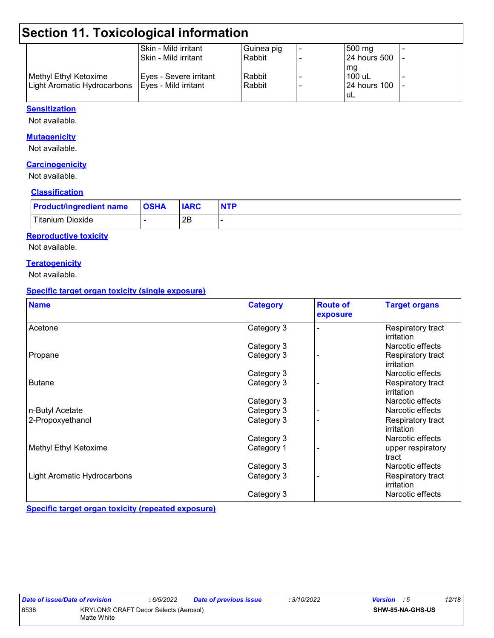# **Section 11. Toxicological information**

| Skin - Mild irritant   | Guinea pig                  | $500 \text{ mg}$    |  |
|------------------------|-----------------------------|---------------------|--|
| l Skin - Mild irritant | Rabbit                      | <b>24 hours 500</b> |  |
|                        |                             | mg                  |  |
| Eyes - Severe irritant | Rabbit                      | $100$ uL            |  |
| Eyes - Mild irritant   | Rabbit                      | <b>24 hours 100</b> |  |
|                        |                             | uL                  |  |
|                        | Light Aromatic Hydrocarbons |                     |  |

#### **Sensitization**

Not available.

#### **Mutagenicity**

Not available.

#### **Carcinogenicity**

Not available.

#### **Classification**

| <b>Product/ingredient name</b> | <b>OSHA</b> | <b>IARC</b> | <b>NTP</b> |
|--------------------------------|-------------|-------------|------------|
| Titanium Dioxide               |             | 2B          |            |

#### **Reproductive toxicity**

Not available.

#### **Teratogenicity**

Not available.

#### **Specific target organ toxicity (single exposure)**

| <b>Name</b>                        | <b>Category</b> | <b>Route of</b><br>exposure | <b>Target organs</b>            |
|------------------------------------|-----------------|-----------------------------|---------------------------------|
| Acetone                            | Category 3      |                             | Respiratory tract<br>irritation |
|                                    | Category 3      |                             | Narcotic effects                |
| Propane                            | Category 3      |                             | Respiratory tract<br>irritation |
|                                    | Category 3      |                             | Narcotic effects                |
| <b>Butane</b>                      | Category 3      |                             | Respiratory tract<br>irritation |
|                                    | Category 3      |                             | Narcotic effects                |
| n-Butyl Acetate                    | Category 3      |                             | Narcotic effects                |
| 2-Propoxyethanol                   | Category 3      |                             | Respiratory tract<br>irritation |
|                                    | Category 3      |                             | Narcotic effects                |
| Methyl Ethyl Ketoxime              | Category 1      |                             | upper respiratory<br>tract      |
|                                    | Category 3      |                             | Narcotic effects                |
| <b>Light Aromatic Hydrocarbons</b> | Category 3      |                             | Respiratory tract<br>irritation |
|                                    | Category 3      |                             | Narcotic effects                |

**Specific target organ toxicity (repeated exposure)**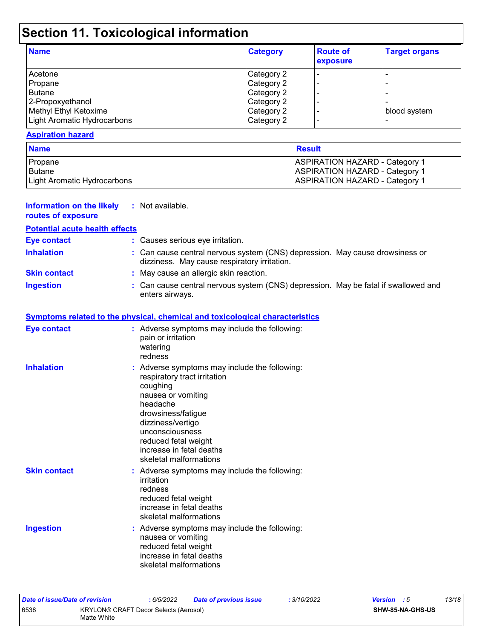# **Section 11. Toxicological information**

| <b>Name</b>                 | <b>Category</b> | <b>Route of</b><br>exposure | <b>Target organs</b> |
|-----------------------------|-----------------|-----------------------------|----------------------|
| Acetone                     | Category 2      | $\blacksquare$              |                      |
| Propane                     | Category 2      |                             |                      |
| Butane                      | Category 2      |                             |                      |
| 2-Propoxyethanol            | Category 2      |                             |                      |
| Methyl Ethyl Ketoxime       | Category 2      |                             | blood system         |
| Light Aromatic Hydrocarbons | Category 2      | $\overline{\phantom{0}}$    |                      |

#### **Aspiration hazard**

| <b>Name</b>                 | <b>Result</b>                                                                  |
|-----------------------------|--------------------------------------------------------------------------------|
| Propane<br><b>Butane</b>    | <b>ASPIRATION HAZARD - Category 1</b><br><b>ASPIRATION HAZARD - Category 1</b> |
| Light Aromatic Hydrocarbons | <b>ASPIRATION HAZARD - Category 1</b>                                          |

| <b>Information on the likely</b><br>routes of exposure | : Not available.                                                                                                                                                                                                                                                        |
|--------------------------------------------------------|-------------------------------------------------------------------------------------------------------------------------------------------------------------------------------------------------------------------------------------------------------------------------|
| <b>Potential acute health effects</b>                  |                                                                                                                                                                                                                                                                         |
| <b>Eye contact</b>                                     | : Causes serious eye irritation.                                                                                                                                                                                                                                        |
| <b>Inhalation</b>                                      | : Can cause central nervous system (CNS) depression. May cause drowsiness or<br>dizziness. May cause respiratory irritation.                                                                                                                                            |
| <b>Skin contact</b>                                    | : May cause an allergic skin reaction.                                                                                                                                                                                                                                  |
| <b>Ingestion</b>                                       | : Can cause central nervous system (CNS) depression. May be fatal if swallowed and<br>enters airways.                                                                                                                                                                   |
|                                                        | <b>Symptoms related to the physical, chemical and toxicological characteristics</b>                                                                                                                                                                                     |
| <b>Eye contact</b>                                     | : Adverse symptoms may include the following:<br>pain or irritation<br>watering<br>redness                                                                                                                                                                              |
| <b>Inhalation</b>                                      | : Adverse symptoms may include the following:<br>respiratory tract irritation<br>coughing<br>nausea or vomiting<br>headache<br>drowsiness/fatigue<br>dizziness/vertigo<br>unconsciousness<br>reduced fetal weight<br>increase in fetal deaths<br>skeletal malformations |
| <b>Skin contact</b>                                    | : Adverse symptoms may include the following:<br>irritation<br>redness<br>reduced fetal weight<br>increase in fetal deaths<br>skeletal malformations                                                                                                                    |
| <b>Ingestion</b>                                       | : Adverse symptoms may include the following:<br>nausea or vomiting<br>reduced fetal weight<br>increase in fetal deaths<br>skeletal malformations                                                                                                                       |

| Date of issue/Date of revision |                                                      | 6/5/2022 | <b>Date of previous issue</b> | : 3/10/2022 | <b>Version</b> : 5 |                  | 13/18 |
|--------------------------------|------------------------------------------------------|----------|-------------------------------|-------------|--------------------|------------------|-------|
| 6538                           | KRYLON® CRAFT Decor Selects (Aerosol)<br>Matte White |          |                               |             |                    | SHW-85-NA-GHS-US |       |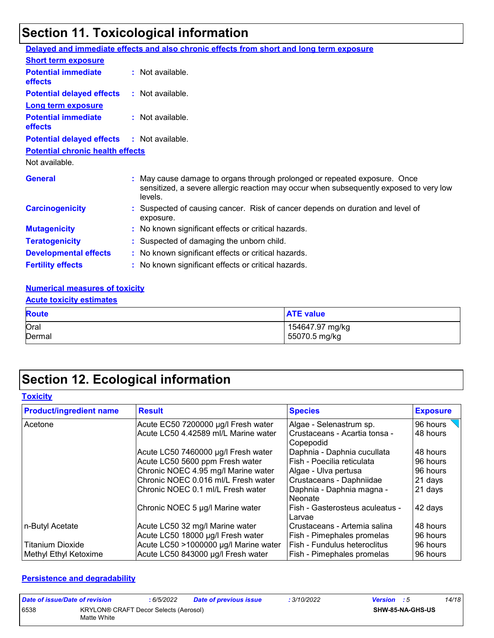# **Section 11. Toxicological information**

|                                              | Delayed and immediate effects and also chronic effects from short and long term exposure                                                                                       |
|----------------------------------------------|--------------------------------------------------------------------------------------------------------------------------------------------------------------------------------|
| <b>Short term exposure</b>                   |                                                                                                                                                                                |
| <b>Potential immediate</b><br><b>effects</b> | : Not available.                                                                                                                                                               |
| <b>Potential delayed effects</b>             | : Not available.                                                                                                                                                               |
| <b>Long term exposure</b>                    |                                                                                                                                                                                |
| <b>Potential immediate</b><br><b>effects</b> | : Not available.                                                                                                                                                               |
| <b>Potential delayed effects</b>             | : Not available.                                                                                                                                                               |
| <b>Potential chronic health effects</b>      |                                                                                                                                                                                |
| Not available.                               |                                                                                                                                                                                |
| <b>General</b>                               | : May cause damage to organs through prolonged or repeated exposure. Once<br>sensitized, a severe allergic reaction may occur when subsequently exposed to very low<br>levels. |
| <b>Carcinogenicity</b>                       | : Suspected of causing cancer. Risk of cancer depends on duration and level of<br>exposure.                                                                                    |
| <b>Mutagenicity</b>                          | : No known significant effects or critical hazards.                                                                                                                            |
| <b>Teratogenicity</b>                        | : Suspected of damaging the unborn child.                                                                                                                                      |
| <b>Developmental effects</b>                 | : No known significant effects or critical hazards.                                                                                                                            |
| <b>Fertility effects</b>                     | : No known significant effects or critical hazards.                                                                                                                            |

#### **Numerical measures of toxicity**

#### **Acute toxicity estimates**

| <b>Route</b> | <b>ATE value</b> |
|--------------|------------------|
| Oral         | 154647.97 mg/kg  |
| Dermal       | 55070.5 mg/kg    |

# **Section 12. Ecological information**

#### **Toxicity**

| <b>Product/ingredient name</b> | <b>Result</b>                         | <b>Species</b>                             | <b>Exposure</b> |
|--------------------------------|---------------------------------------|--------------------------------------------|-----------------|
| Acetone                        | Acute EC50 7200000 µg/l Fresh water   | Algae - Selenastrum sp.                    | 96 hours        |
|                                | Acute LC50 4.42589 ml/L Marine water  | Crustaceans - Acartia tonsa -<br>Copepodid | 48 hours        |
|                                | Acute LC50 7460000 µg/l Fresh water   | Daphnia - Daphnia cucullata                | 48 hours        |
|                                | Acute LC50 5600 ppm Fresh water       | Fish - Poecilia reticulata                 | 96 hours        |
|                                | Chronic NOEC 4.95 mg/l Marine water   | Algae - Ulva pertusa                       | 96 hours        |
|                                | Chronic NOEC 0.016 ml/L Fresh water   | Crustaceans - Daphniidae                   | 21 days         |
|                                | Chronic NOEC 0.1 ml/L Fresh water     | Daphnia - Daphnia magna -<br>Neonate       | 21 days         |
|                                | Chronic NOEC 5 µg/l Marine water      | Fish - Gasterosteus aculeatus -<br>Larvae  | 42 days         |
| n-Butyl Acetate                | Acute LC50 32 mg/l Marine water       | Crustaceans - Artemia salina               | 48 hours        |
|                                | Acute LC50 18000 µg/l Fresh water     | Fish - Pimephales promelas                 | 96 hours        |
| <b>Titanium Dioxide</b>        | Acute LC50 >1000000 µg/l Marine water | Fish - Fundulus heteroclitus               | 96 hours        |
| Methyl Ethyl Ketoxime          | Acute LC50 843000 µg/l Fresh water    | Fish - Pimephales promelas                 | 96 hours        |

#### **Persistence and degradability**

| Date of issue/Date of revision |                                                      | 6/5/2022 | <b>Date of previous issue</b> | : 3/10/2022 | <b>Version</b> : 5 |                         | 14/18 |
|--------------------------------|------------------------------------------------------|----------|-------------------------------|-------------|--------------------|-------------------------|-------|
| 6538                           | KRYLON® CRAFT Decor Selects (Aerosol)<br>Matte White |          |                               |             |                    | <b>SHW-85-NA-GHS-US</b> |       |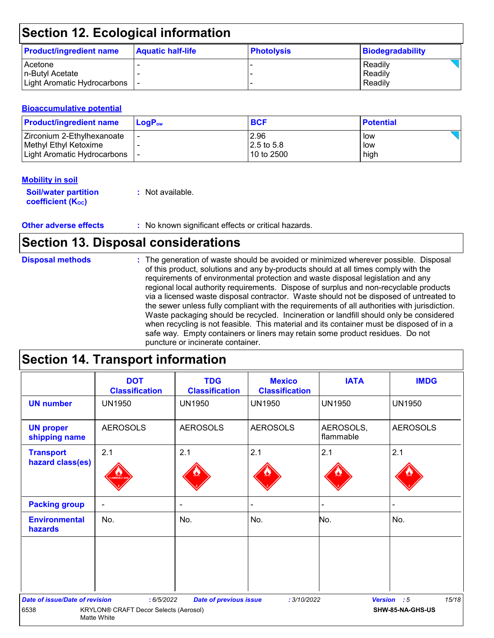# **Section 12. Ecological information**

| <b>Product/ingredient name</b> | <b>Aquatic half-life</b> | <b>Photolysis</b> | Biodegradability |
|--------------------------------|--------------------------|-------------------|------------------|
| <b>Acetone</b>                 |                          |                   | Readily          |
| In-Butvl Acetate               |                          |                   | Readily          |
| Light Aromatic Hydrocarbons    |                          |                   | Readily          |

#### **Bioaccumulative potential**

| <b>Product/ingredient name</b> | $\mathsf{LogP}_\mathsf{ow}$ | <b>BCF</b>   | <b>Potential</b> |
|--------------------------------|-----------------------------|--------------|------------------|
| I Zirconium 2-Ethylhexanoate   |                             | 2.96         | low              |
| Methyl Ethyl Ketoxime          |                             | $2.5$ to 5.8 | low              |
| Light Aromatic Hydrocarbons    |                             | 10 to 2500   | high             |

#### **Mobility in soil**

| <b>Soil/water partition</b> | : Not available. |
|-----------------------------|------------------|
| <b>coefficient (Koc)</b>    |                  |

**Other adverse effects** : No known significant effects or critical hazards.

## **Section 13. Disposal considerations**

| <b>Disposal methods</b> | : The generation of waste should be avoided or minimized wherever possible. Disposal<br>of this product, solutions and any by-products should at all times comply with the<br>requirements of environmental protection and waste disposal legislation and any<br>regional local authority requirements. Dispose of surplus and non-recyclable products<br>via a licensed waste disposal contractor. Waste should not be disposed of untreated to<br>the sewer unless fully compliant with the requirements of all authorities with jurisdiction.<br>Waste packaging should be recycled. Incineration or landfill should only be considered<br>when recycling is not feasible. This material and its container must be disposed of in a<br>safe way. Empty containers or liners may retain some product residues. Do not<br>puncture or incinerate container. |
|-------------------------|--------------------------------------------------------------------------------------------------------------------------------------------------------------------------------------------------------------------------------------------------------------------------------------------------------------------------------------------------------------------------------------------------------------------------------------------------------------------------------------------------------------------------------------------------------------------------------------------------------------------------------------------------------------------------------------------------------------------------------------------------------------------------------------------------------------------------------------------------------------|
|-------------------------|--------------------------------------------------------------------------------------------------------------------------------------------------------------------------------------------------------------------------------------------------------------------------------------------------------------------------------------------------------------------------------------------------------------------------------------------------------------------------------------------------------------------------------------------------------------------------------------------------------------------------------------------------------------------------------------------------------------------------------------------------------------------------------------------------------------------------------------------------------------|

# **Section 14. Transport information**

|                                       | <b>DOT</b><br><b>Classification</b>                  | <b>TDG</b><br><b>Classification</b> | <b>Mexico</b><br><b>Classification</b> | <b>IATA</b>            | <b>IMDG</b>          |
|---------------------------------------|------------------------------------------------------|-------------------------------------|----------------------------------------|------------------------|----------------------|
| <b>UN number</b>                      | <b>UN1950</b>                                        | <b>UN1950</b>                       | <b>UN1950</b>                          | <b>UN1950</b>          | <b>UN1950</b>        |
| <b>UN proper</b><br>shipping name     | <b>AEROSOLS</b>                                      | <b>AEROSOLS</b>                     | <b>AEROSOLS</b>                        | AEROSOLS,<br>flammable | <b>AEROSOLS</b>      |
| <b>Transport</b><br>hazard class(es)  | 2.1                                                  | 2.1                                 | 2.1                                    | 2.1                    | 2.1                  |
| <b>Packing group</b>                  | $\blacksquare$                                       | $\blacksquare$                      |                                        | -                      |                      |
| <b>Environmental</b><br>hazards       | No.                                                  | No.                                 | No.                                    | No.                    | No.                  |
|                                       |                                                      |                                     |                                        |                        |                      |
| <b>Date of issue/Date of revision</b> | : 6/5/2022                                           | <b>Date of previous issue</b>       | : 3/10/2022                            |                        | 15/18<br>Version : 5 |
| 6538                                  | KRYLON® CRAFT Decor Selects (Aerosol)<br>Matte White |                                     |                                        |                        | SHW-85-NA-GHS-US     |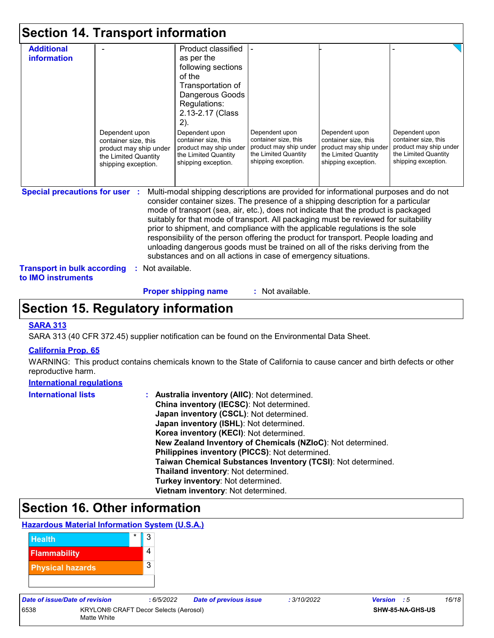|                                                                                                        | <b>Section 14. Transport information</b>                                                                        |                                                                                                                                                                                                                                                                                                                                                                                                                                                                                                                                                                                                                                                                                     |                                                                                                                 |                                                                                                                 |                                                                                                                 |
|--------------------------------------------------------------------------------------------------------|-----------------------------------------------------------------------------------------------------------------|-------------------------------------------------------------------------------------------------------------------------------------------------------------------------------------------------------------------------------------------------------------------------------------------------------------------------------------------------------------------------------------------------------------------------------------------------------------------------------------------------------------------------------------------------------------------------------------------------------------------------------------------------------------------------------------|-----------------------------------------------------------------------------------------------------------------|-----------------------------------------------------------------------------------------------------------------|-----------------------------------------------------------------------------------------------------------------|
| <b>Additional</b><br>information                                                                       | Dependent upon<br>container size, this<br>product may ship under<br>the Limited Quantity<br>shipping exception. | Product classified<br>as per the<br>following sections<br>of the<br>Transportation of<br>Dangerous Goods<br>Regulations:<br>2.13-2.17 (Class<br>2).<br>Dependent upon<br>container size, this<br>product may ship under<br>the Limited Quantity<br>shipping exception.                                                                                                                                                                                                                                                                                                                                                                                                              | Dependent upon<br>container size, this<br>product may ship under<br>the Limited Quantity<br>shipping exception. | Dependent upon<br>container size, this<br>product may ship under<br>the Limited Quantity<br>shipping exception. | Dependent upon<br>container size, this<br>product may ship under<br>the Limited Quantity<br>shipping exception. |
| <b>Special precautions for user</b><br><b>Transport in bulk according</b><br>to <b>IMO</b> instruments | Not available.                                                                                                  | Multi-modal shipping descriptions are provided for informational purposes and do not<br>consider container sizes. The presence of a shipping description for a particular<br>mode of transport (sea, air, etc.), does not indicate that the product is packaged<br>suitably for that mode of transport. All packaging must be reviewed for suitability<br>prior to shipment, and compliance with the applicable regulations is the sole<br>responsibility of the person offering the product for transport. People loading and<br>unloading dangerous goods must be trained on all of the risks deriving from the<br>substances and on all actions in case of emergency situations. |                                                                                                                 |                                                                                                                 |                                                                                                                 |

**Proper shipping name :**

: Not available.

## **Section 15. Regulatory information**

#### **SARA 313**

SARA 313 (40 CFR 372.45) supplier notification can be found on the Environmental Data Sheet.

#### **California Prop. 65**

WARNING: This product contains chemicals known to the State of California to cause cancer and birth defects or other reproductive harm.

#### **International regulations**

| <b>International lists</b> | : Australia inventory (AIIC): Not determined.                |
|----------------------------|--------------------------------------------------------------|
|                            | China inventory (IECSC): Not determined.                     |
|                            | Japan inventory (CSCL): Not determined.                      |
|                            | Japan inventory (ISHL): Not determined.                      |
|                            | Korea inventory (KECI): Not determined.                      |
|                            | New Zealand Inventory of Chemicals (NZIoC): Not determined.  |
|                            | Philippines inventory (PICCS): Not determined.               |
|                            | Taiwan Chemical Substances Inventory (TCSI): Not determined. |
|                            | Thailand inventory: Not determined.                          |
|                            | Turkey inventory: Not determined.                            |
|                            | Vietnam inventory: Not determined.                           |

# **Section 16. Other information**

#### **Hazardous Material Information System (U.S.A.)**



| Date of issue/Date of revision |                                       | : 6/5/2022              | <b>Date of previous issue</b> | : 3/10/2022 | <b>Version</b> : 5 | 16/18 |
|--------------------------------|---------------------------------------|-------------------------|-------------------------------|-------------|--------------------|-------|
| 6538                           | KRYLON® CRAFT Decor Selects (Aerosol) | <b>SHW-85-NA-GHS-US</b> |                               |             |                    |       |
|                                | Matte White                           |                         |                               |             |                    |       |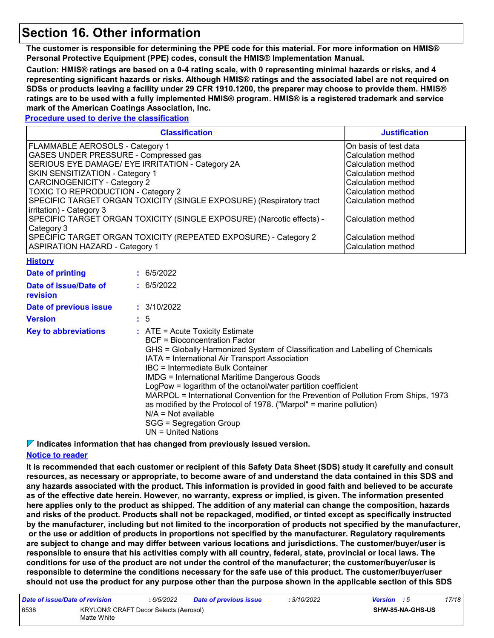### **Section 16. Other information**

**The customer is responsible for determining the PPE code for this material. For more information on HMIS® Personal Protective Equipment (PPE) codes, consult the HMIS® Implementation Manual.**

**Caution: HMIS® ratings are based on a 0-4 rating scale, with 0 representing minimal hazards or risks, and 4 representing significant hazards or risks. Although HMIS® ratings and the associated label are not required on SDSs or products leaving a facility under 29 CFR 1910.1200, the preparer may choose to provide them. HMIS® ratings are to be used with a fully implemented HMIS® program. HMIS® is a registered trademark and service mark of the American Coatings Association, Inc.**

#### **Procedure used to derive the classification**

|                                                                                    | <b>Justification</b>  |                                          |  |  |  |  |
|------------------------------------------------------------------------------------|-----------------------|------------------------------------------|--|--|--|--|
| FLAMMABLE AEROSOLS - Category 1                                                    | On basis of test data |                                          |  |  |  |  |
| GASES UNDER PRESSURE - Compressed gas                                              | Calculation method    |                                          |  |  |  |  |
| SERIOUS EYE DAMAGE/ EYE IRRITATION - Category 2A                                   | Calculation method    |                                          |  |  |  |  |
| SKIN SENSITIZATION - Category 1                                                    | Calculation method    |                                          |  |  |  |  |
| <b>CARCINOGENICITY - Category 2</b>                                                | Calculation method    |                                          |  |  |  |  |
| TOXIC TO REPRODUCTION - Category 2                                                 | Calculation method    |                                          |  |  |  |  |
| SPECIFIC TARGET ORGAN TOXICITY (SINGLE EXPOSURE) (Respiratory tract                | Calculation method    |                                          |  |  |  |  |
| irritation) - Category 3                                                           |                       |                                          |  |  |  |  |
| SPECIFIC TARGET ORGAN TOXICITY (SINGLE EXPOSURE) (Narcotic effects) -              | Calculation method    |                                          |  |  |  |  |
| Category 3                                                                         |                       |                                          |  |  |  |  |
| SPECIFIC TARGET ORGAN TOXICITY (REPEATED EXPOSURE) - Category 2                    | Calculation method    |                                          |  |  |  |  |
| <b>ASPIRATION HAZARD - Category 1</b>                                              | Calculation method    |                                          |  |  |  |  |
| <b>History</b>                                                                     |                       |                                          |  |  |  |  |
| Date of printing                                                                   |                       | : 6/5/2022                               |  |  |  |  |
| Date of issue/Date of<br>revision                                                  |                       | : 6/5/2022                               |  |  |  |  |
|                                                                                    |                       | : 3/10/2022                              |  |  |  |  |
| Date of previous issue                                                             |                       |                                          |  |  |  |  |
| <b>Version</b>                                                                     |                       | $\frac{1}{2}$ 5                          |  |  |  |  |
| <b>Key to abbreviations</b>                                                        |                       | $:$ ATE = Acute Toxicity Estimate        |  |  |  |  |
| <b>BCF = Bioconcentration Factor</b>                                               |                       |                                          |  |  |  |  |
| GHS = Globally Harmonized System of Classification and Labelling of Chemicals      |                       |                                          |  |  |  |  |
| IATA = International Air Transport Association                                     |                       |                                          |  |  |  |  |
|                                                                                    |                       | <b>IBC</b> = Intermediate Bulk Container |  |  |  |  |
| <b>IMDG = International Maritime Dangerous Goods</b>                               |                       |                                          |  |  |  |  |
| LogPow = logarithm of the octanol/water partition coefficient                      |                       |                                          |  |  |  |  |
| MARPOL = International Convention for the Prevention of Pollution From Ships, 1973 |                       |                                          |  |  |  |  |
| as modified by the Protocol of 1978. ("Marpol" = marine pollution)                 |                       |                                          |  |  |  |  |

N/A = Not available

SGG = Segregation Group

UN = United Nations

**Indicates information that has changed from previously issued version.**

#### **Notice to reader**

**It is recommended that each customer or recipient of this Safety Data Sheet (SDS) study it carefully and consult resources, as necessary or appropriate, to become aware of and understand the data contained in this SDS and any hazards associated with the product. This information is provided in good faith and believed to be accurate as of the effective date herein. However, no warranty, express or implied, is given. The information presented here applies only to the product as shipped. The addition of any material can change the composition, hazards and risks of the product. Products shall not be repackaged, modified, or tinted except as specifically instructed by the manufacturer, including but not limited to the incorporation of products not specified by the manufacturer, or the use or addition of products in proportions not specified by the manufacturer. Regulatory requirements are subject to change and may differ between various locations and jurisdictions. The customer/buyer/user is responsible to ensure that his activities comply with all country, federal, state, provincial or local laws. The conditions for use of the product are not under the control of the manufacturer; the customer/buyer/user is responsible to determine the conditions necessary for the safe use of this product. The customer/buyer/user should not use the product for any purpose other than the purpose shown in the applicable section of this SDS** 

| Date of issue/Date of revision |                                                      | : 6/5/2022 | <b>Date of previous issue</b> | 3/10/2022 | <b>Version</b> : 5 |                         | 17/18 |
|--------------------------------|------------------------------------------------------|------------|-------------------------------|-----------|--------------------|-------------------------|-------|
| 6538                           | KRYLON® CRAFT Decor Selects (Aerosol)<br>Matte White |            |                               |           |                    | <b>SHW-85-NA-GHS-US</b> |       |